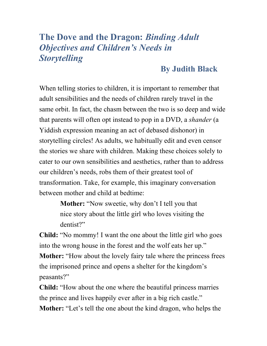## **The Dove and the Dragon:** *Binding Adult Objectives and Children's Needs in Storytelling*

## **By Judith Black**

When telling stories to children, it is important to remember that adult sensibilities and the needs of children rarely travel in the same orbit. In fact, the chasm between the two is so deep and wide that parents will often opt instead to pop in a DVD, a *shander* (a Yiddish expression meaning an act of debased dishonor) in storytelling circles! As adults, we habitually edit and even censor the stories we share with children. Making these choices solely to cater to our own sensibilities and aesthetics, rather than to address our children's needs, robs them of their greatest tool of transformation. Take, for example, this imaginary conversation between mother and child at bedtime:

> **Mother:** "Now sweetie, why don't I tell you that nice story about the little girl who loves visiting the dentist?"

**Child:** "No mommy! I want the one about the little girl who goes into the wrong house in the forest and the wolf eats her up." **Mother:** "How about the lovely fairy tale where the princess frees the imprisoned prince and opens a shelter for the kingdom's peasants?"

**Child:** "How about the one where the beautiful princess marries the prince and lives happily ever after in a big rich castle." **Mother:** "Let's tell the one about the kind dragon, who helps the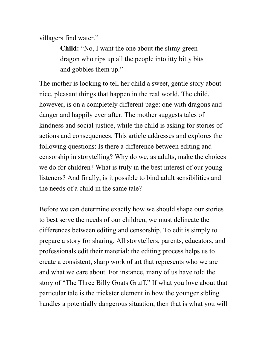villagers find water."

**Child:** "No, I want the one about the slimy green dragon who rips up all the people into itty bitty bits and gobbles them up."

The mother is looking to tell her child a sweet, gentle story about nice, pleasant things that happen in the real world. The child, however, is on a completely different page: one with dragons and danger and happily ever after. The mother suggests tales of kindness and social justice, while the child is asking for stories of actions and consequences. This article addresses and explores the following questions: Is there a difference between editing and censorship in storytelling? Why do we, as adults, make the choices we do for children? What is truly in the best interest of our young listeners? And finally, is it possible to bind adult sensibilities and the needs of a child in the same tale?

Before we can determine exactly how we should shape our stories to best serve the needs of our children, we must delineate the differences between editing and censorship. To edit is simply to prepare a story for sharing. All storytellers, parents, educators, and professionals edit their material: the editing process helps us to create a consistent, sharp work of art that represents who we are and what we care about. For instance, many of us have told the story of "The Three Billy Goats Gruff." If what you love about that particular tale is the trickster element in how the younger sibling handles a potentially dangerous situation, then that is what you will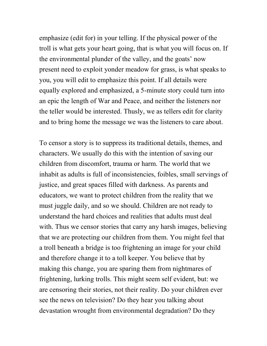emphasize (edit for) in your telling. If the physical power of the troll is what gets your heart going, that is what you will focus on. If the environmental plunder of the valley, and the goats' now present need to exploit yonder meadow for grass, is what speaks to you, you will edit to emphasize this point. If all details were equally explored and emphasized, a 5-minute story could turn into an epic the length of War and Peace, and neither the listeners nor the teller would be interested. Thusly, we as tellers edit for clarity and to bring home the message we was the listeners to care about.

To censor a story is to suppress its traditional details, themes, and characters. We usually do this with the intention of saving our children from discomfort, trauma or harm. The world that we inhabit as adults is full of inconsistencies, foibles, small servings of justice, and great spaces filled with darkness. As parents and educators, we want to protect children from the reality that we must juggle daily, and so we should. Children are not ready to understand the hard choices and realities that adults must deal with. Thus we censor stories that carry any harsh images, believing that we are protecting our children from them. You might feel that a troll beneath a bridge is too frightening an image for your child and therefore change it to a toll keeper. You believe that by making this change, you are sparing them from nightmares of frightening, lurking trolls. This might seem self evident, but: we are censoring their stories, not their reality. Do your children ever see the news on television? Do they hear you talking about devastation wrought from environmental degradation? Do they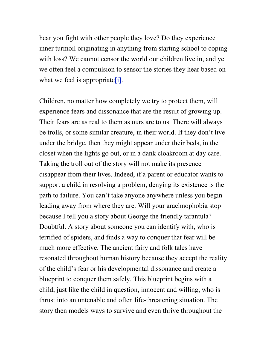hear you fight with other people they love? Do they experience inner turmoil originating in anything from starting school to coping with loss? We cannot censor the world our children live in, and yet we often feel a compulsion to sensor the stories they hear based on what we feel is appropriate [i].

Children, no matter how completely we try to protect them, will experience fears and dissonance that are the result of growing up. Their fears are as real to them as ours are to us. There will always be trolls, or some similar creature, in their world. If they don't live under the bridge, then they might appear under their beds, in the closet when the lights go out, or in a dank cloakroom at day care. Taking the troll out of the story will not make its presence disappear from their lives. Indeed, if a parent or educator wants to support a child in resolving a problem, denying its existence is the path to failure. You can't take anyone anywhere unless you begin leading away from where they are. Will your arachnophobia stop because I tell you a story about George the friendly tarantula? Doubtful. A story about someone you can identify with, who is terrified of spiders, and finds a way to conquer that fear will be much more effective. The ancient fairy and folk tales have resonated throughout human history because they accept the reality of the child's fear or his developmental dissonance and create a blueprint to conquer them safely. This blueprint begins with a child, just like the child in question, innocent and willing, who is thrust into an untenable and often life-threatening situation. The story then models ways to survive and even thrive throughout the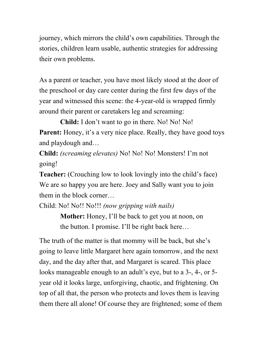journey, which mirrors the child's own capabilities. Through the stories, children learn usable, authentic strategies for addressing their own problems.

As a parent or teacher, you have most likely stood at the door of the preschool or day care center during the first few days of the year and witnessed this scene: the 4-year-old is wrapped firmly around their parent or caretakers leg and screaming:

**Child:** I don't want to go in there. No! No! No! **Parent:** Honey, it's a very nice place. Really, they have good toys and playdough and…

**Child:** *(screaming elevates)* No! No! No! Monsters! I'm not going!

**Teacher:** (Crouching low to look lovingly into the child's face) We are so happy you are here. Joey and Sally want you to join them in the block corner…

Child: No! No!! No!!! *(now gripping with nails)*

**Mother:** Honey, I'll be back to get you at noon, on the button. I promise. I'll be right back here…

The truth of the matter is that mommy will be back, but she's going to leave little Margaret here again tomorrow, and the next day, and the day after that, and Margaret is scared. This place looks manageable enough to an adult's eye, but to a 3-, 4-, or 5 year old it looks large, unforgiving, chaotic, and frightening. On top of all that, the person who protects and loves them is leaving them there all alone! Of course they are frightened; some of them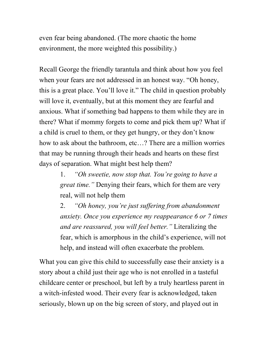even fear being abandoned. (The more chaotic the home environment, the more weighted this possibility.)

Recall George the friendly tarantula and think about how you feel when your fears are not addressed in an honest way. "Oh honey, this is a great place. You'll love it." The child in question probably will love it, eventually, but at this moment they are fearful and anxious. What if something bad happens to them while they are in there? What if mommy forgets to come and pick them up? What if a child is cruel to them, or they get hungry, or they don't know how to ask about the bathroom, etc…? There are a million worries that may be running through their heads and hearts on these first days of separation. What might best help them?

> 1. *"Oh sweetie, now stop that. You're going to have a great time."* Denying their fears, which for them are very real, will not help them

2. *"Oh honey, you're just suffering from abandonment anxiety. Once you experience my reappearance 6 or 7 times and are reassured, you will feel better."* Literalizing the fear, which is amorphous in the child's experience, will not help, and instead will often exacerbate the problem.

What you can give this child to successfully ease their anxiety is a story about a child just their age who is not enrolled in a tasteful childcare center or preschool, but left by a truly heartless parent in a witch-infested wood. Their every fear is acknowledged, taken seriously, blown up on the big screen of story, and played out in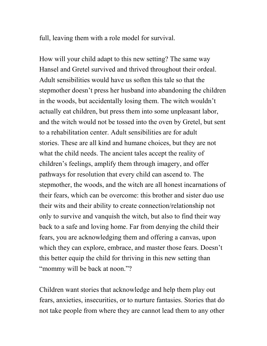full, leaving them with a role model for survival.

How will your child adapt to this new setting? The same way Hansel and Gretel survived and thrived throughout their ordeal. Adult sensibilities would have us soften this tale so that the stepmother doesn't press her husband into abandoning the children in the woods, but accidentally losing them. The witch wouldn't actually eat children, but press them into some unpleasant labor, and the witch would not be tossed into the oven by Gretel, but sent to a rehabilitation center. Adult sensibilities are for adult stories. These are all kind and humane choices, but they are not what the child needs. The ancient tales accept the reality of children's feelings, amplify them through imagery, and offer pathways for resolution that every child can ascend to. The stepmother, the woods, and the witch are all honest incarnations of their fears, which can be overcome: this brother and sister duo use their wits and their ability to create connection/relationship not only to survive and vanquish the witch, but also to find their way back to a safe and loving home. Far from denying the child their fears, you are acknowledging them and offering a canvas, upon which they can explore, embrace, and master those fears. Doesn't this better equip the child for thriving in this new setting than "mommy will be back at noon."?

Children want stories that acknowledge and help them play out fears, anxieties, insecurities, or to nurture fantasies. Stories that do not take people from where they are cannot lead them to any other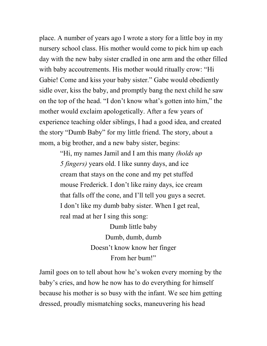place. A number of years ago I wrote a story for a little boy in my nursery school class. His mother would come to pick him up each day with the new baby sister cradled in one arm and the other filled with baby accoutrements. His mother would ritually crow: "Hi Gabie! Come and kiss your baby sister." Gabe would obediently sidle over, kiss the baby, and promptly bang the next child he saw on the top of the head. "I don't know what's gotten into him," the mother would exclaim apologetically. After a few years of experience teaching older siblings, I had a good idea, and created the story "Dumb Baby" for my little friend. The story, about a mom, a big brother, and a new baby sister, begins:

> "Hi, my names Jamil and I am this many *(holds up 5 fingers)* years old. I like sunny days, and ice cream that stays on the cone and my pet stuffed mouse Frederick. I don't like rainy days, ice cream that falls off the cone, and I'll tell you guys a secret. I don't like my dumb baby sister. When I get real, real mad at her I sing this song:

> > Dumb little baby Dumb, dumb, dumb Doesn't know know her finger From her bum!"

Jamil goes on to tell about how he's woken every morning by the baby's cries, and how he now has to do everything for himself because his mother is so busy with the infant. We see him getting dressed, proudly mismatching socks, maneuvering his head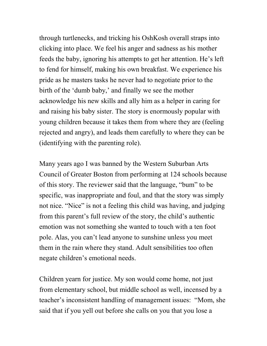through turtlenecks, and tricking his OshKosh overall straps into clicking into place. We feel his anger and sadness as his mother feeds the baby, ignoring his attempts to get her attention. He's left to fend for himself, making his own breakfast. We experience his pride as he masters tasks he never had to negotiate prior to the birth of the 'dumb baby,' and finally we see the mother acknowledge his new skills and ally him as a helper in caring for and raising his baby sister. The story is enormously popular with young children because it takes them from where they are (feeling rejected and angry), and leads them carefully to where they can be (identifying with the parenting role).

Many years ago I was banned by the Western Suburban Arts Council of Greater Boston from performing at 124 schools because of this story. The reviewer said that the language, "bum" to be specific, was inappropriate and foul, and that the story was simply not nice. "Nice" is not a feeling this child was having, and judging from this parent's full review of the story, the child's authentic emotion was not something she wanted to touch with a ten foot pole. Alas, you can't lead anyone to sunshine unless you meet them in the rain where they stand. Adult sensibilities too often negate children's emotional needs.

Children yearn for justice. My son would come home, not just from elementary school, but middle school as well, incensed by a teacher's inconsistent handling of management issues: "Mom, she said that if you yell out before she calls on you that you lose a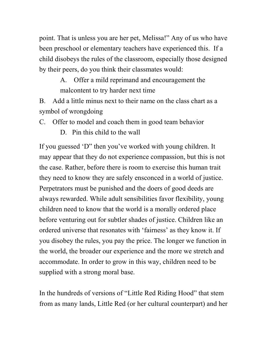point. That is unless you are her pet, Melissa!" Any of us who have been preschool or elementary teachers have experienced this. If a child disobeys the rules of the classroom, especially those designed by their peers, do you think their classmates would:

> A. Offer a mild reprimand and encouragement the malcontent to try harder next time

B. Add a little minus next to their name on the class chart as a symbol of wrongdoing

C. Offer to model and coach them in good team behavior

D. Pin this child to the wall

If you guessed 'D" then you've worked with young children. It may appear that they do not experience compassion, but this is not the case. Rather, before there is room to exercise this human trait they need to know they are safely ensconced in a world of justice. Perpetrators must be punished and the doers of good deeds are always rewarded. While adult sensibilities favor flexibility, young children need to know that the world is a morally ordered place before venturing out for subtler shades of justice. Children like an ordered universe that resonates with 'fairness' as they know it. If you disobey the rules, you pay the price. The longer we function in the world, the broader our experience and the more we stretch and accommodate. In order to grow in this way, children need to be supplied with a strong moral base.

In the hundreds of versions of "Little Red Riding Hood" that stem from as many lands, Little Red (or her cultural counterpart) and her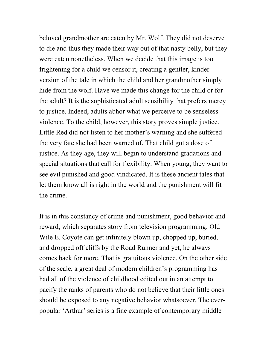beloved grandmother are eaten by Mr. Wolf. They did not deserve to die and thus they made their way out of that nasty belly, but they were eaten nonetheless. When we decide that this image is too frightening for a child we censor it, creating a gentler, kinder version of the tale in which the child and her grandmother simply hide from the wolf. Have we made this change for the child or for the adult? It is the sophisticated adult sensibility that prefers mercy to justice. Indeed, adults abhor what we perceive to be senseless violence. To the child, however, this story proves simple justice. Little Red did not listen to her mother's warning and she suffered the very fate she had been warned of. That child got a dose of justice. As they age, they will begin to understand gradations and special situations that call for flexibility. When young, they want to see evil punished and good vindicated. It is these ancient tales that let them know all is right in the world and the punishment will fit the crime.

It is in this constancy of crime and punishment, good behavior and reward, which separates story from television programming. Old Wile E. Coyote can get infinitely blown up, chopped up, buried, and dropped off cliffs by the Road Runner and yet, he always comes back for more. That is gratuitous violence. On the other side of the scale, a great deal of modern children's programming has had all of the violence of childhood edited out in an attempt to pacify the ranks of parents who do not believe that their little ones should be exposed to any negative behavior whatsoever. The everpopular 'Arthur' series is a fine example of contemporary middle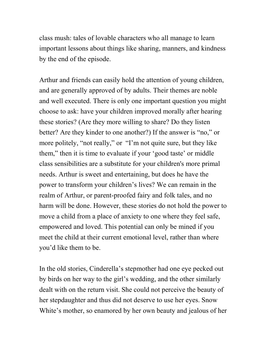class mush: tales of lovable characters who all manage to learn important lessons about things like sharing, manners, and kindness by the end of the episode.

Arthur and friends can easily hold the attention of young children, and are generally approved of by adults. Their themes are noble and well executed. There is only one important question you might choose to ask: have your children improved morally after hearing these stories? (Are they more willing to share? Do they listen better? Are they kinder to one another?) If the answer is "no," or more politely, "not really," or "I'm not quite sure, but they like them," then it is time to evaluate if your 'good taste' or middle class sensibilities are a substitute for your children's more primal needs. Arthur is sweet and entertaining, but does he have the power to transform your children's lives? We can remain in the realm of Arthur, or parent-proofed fairy and folk tales, and no harm will be done. However, these stories do not hold the power to move a child from a place of anxiety to one where they feel safe, empowered and loved. This potential can only be mined if you meet the child at their current emotional level, rather than where you'd like them to be.

In the old stories, Cinderella's stepmother had one eye pecked out by birds on her way to the girl's wedding, and the other similarly dealt with on the return visit. She could not perceive the beauty of her stepdaughter and thus did not deserve to use her eyes. Snow White's mother, so enamored by her own beauty and jealous of her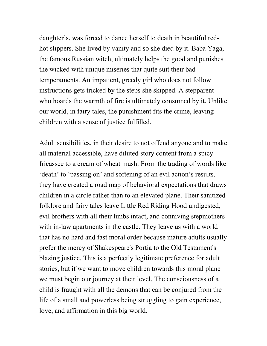daughter's, was forced to dance herself to death in beautiful redhot slippers. She lived by vanity and so she died by it. Baba Yaga, the famous Russian witch, ultimately helps the good and punishes the wicked with unique miseries that quite suit their bad temperaments. An impatient, greedy girl who does not follow instructions gets tricked by the steps she skipped. A stepparent who hoards the warmth of fire is ultimately consumed by it. Unlike our world, in fairy tales, the punishment fits the crime, leaving children with a sense of justice fulfilled.

Adult sensibilities, in their desire to not offend anyone and to make all material accessible, have diluted story content from a spicy fricassee to a cream of wheat mush. From the trading of words like 'death' to 'passing on' and softening of an evil action's results, they have created a road map of behavioral expectations that draws children in a circle rather than to an elevated plane. Their sanitized folklore and fairy tales leave Little Red Riding Hood undigested, evil brothers with all their limbs intact, and conniving stepmothers with in-law apartments in the castle. They leave us with a world that has no hard and fast moral order because mature adults usually prefer the mercy of Shakespeare's Portia to the Old Testament's blazing justice. This is a perfectly legitimate preference for adult stories, but if we want to move children towards this moral plane we must begin our journey at their level. The consciousness of a child is fraught with all the demons that can be conjured from the life of a small and powerless being struggling to gain experience, love, and affirmation in this big world.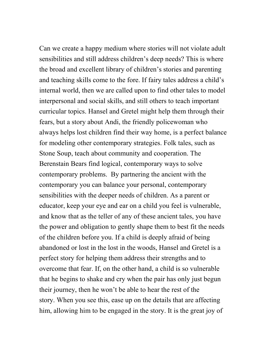Can we create a happy medium where stories will not violate adult sensibilities and still address children's deep needs? This is where the broad and excellent library of children's stories and parenting and teaching skills come to the fore. If fairy tales address a child's internal world, then we are called upon to find other tales to model interpersonal and social skills, and still others to teach important curricular topics. Hansel and Gretel might help them through their fears, but a story about Andi, the friendly policewoman who always helps lost children find their way home, is a perfect balance for modeling other contemporary strategies. Folk tales, such as Stone Soup, teach about community and cooperation. The Berenstain Bears find logical, contemporary ways to solve contemporary problems. By partnering the ancient with the contemporary you can balance your personal, contemporary sensibilities with the deeper needs of children. As a parent or educator, keep your eye and ear on a child you feel is vulnerable, and know that as the teller of any of these ancient tales, you have the power and obligation to gently shape them to best fit the needs of the children before you. If a child is deeply afraid of being abandoned or lost in the lost in the woods, Hansel and Gretel is a perfect story for helping them address their strengths and to overcome that fear. If, on the other hand, a child is so vulnerable that he begins to shake and cry when the pair has only just begun their journey, then he won't be able to hear the rest of the story. When you see this, ease up on the details that are affecting him, allowing him to be engaged in the story. It is the great joy of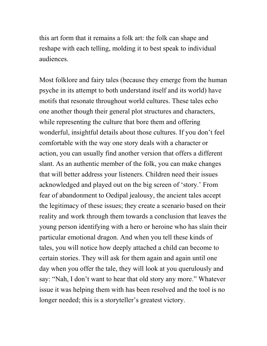this art form that it remains a folk art: the folk can shape and reshape with each telling, molding it to best speak to individual audiences.

Most folklore and fairy tales (because they emerge from the human psyche in its attempt to both understand itself and its world) have motifs that resonate throughout world cultures. These tales echo one another though their general plot structures and characters, while representing the culture that bore them and offering wonderful, insightful details about those cultures. If you don't feel comfortable with the way one story deals with a character or action, you can usually find another version that offers a different slant. As an authentic member of the folk, you can make changes that will better address your listeners. Children need their issues acknowledged and played out on the big screen of 'story.' From fear of abandonment to Oedipal jealousy, the ancient tales accept the legitimacy of these issues; they create a scenario based on their reality and work through them towards a conclusion that leaves the young person identifying with a hero or heroine who has slain their particular emotional dragon. And when you tell these kinds of tales, you will notice how deeply attached a child can become to certain stories. They will ask for them again and again until one day when you offer the tale, they will look at you querulously and say: "Nah, I don't want to hear that old story any more." Whatever issue it was helping them with has been resolved and the tool is no longer needed; this is a storyteller's greatest victory.